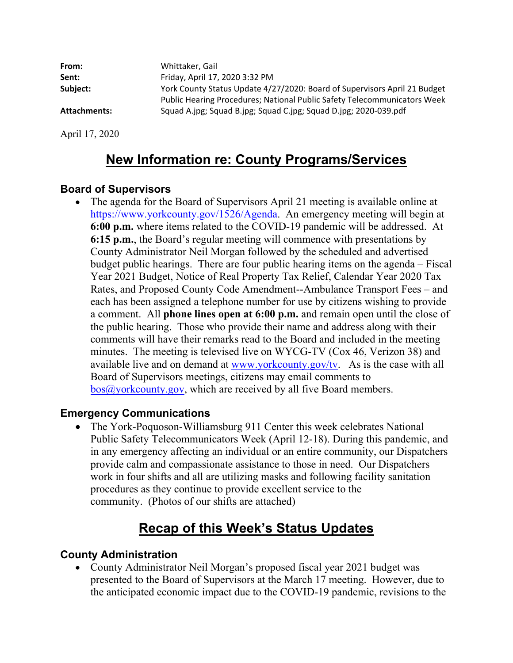| From:        | Whittaker, Gail                                                                                                                                       |
|--------------|-------------------------------------------------------------------------------------------------------------------------------------------------------|
| Sent:        | Friday, April 17, 2020 3:32 PM                                                                                                                        |
| Subject:     | York County Status Update 4/27/2020: Board of Supervisors April 21 Budget<br>Public Hearing Procedures; National Public Safety Telecommunicators Week |
| Attachments: | Squad A.jpg; Squad B.jpg; Squad C.jpg; Squad D.jpg; 2020-039.pdf                                                                                      |

April 17, 2020

## **New Information re: County Programs/Services**

### **Board of Supervisors**

• The agenda for the Board of Supervisors April 21 meeting is available online at <https://www.yorkcounty.gov/1526/Agenda>. An emergency meeting will begin at **6:00 p.m.** where items related to the COVID-19 pandemic will be addressed. At **6:15 p.m.**, the Board's regular meeting will commence with presentations by County Administrator Neil Morgan followed by the scheduled and advertised budget public hearings. There are four public hearing items on the agenda – Fiscal Year 2021 Budget, Notice of Real Property Tax Relief, Calendar Year 2020 Tax Rates, and Proposed County Code Amendment--Ambulance Transport Fees – and each has been assigned a telephone number for use by citizens wishing to provide a comment. All **phone lines open at 6:00 p.m.** and remain open until the close of the public hearing. Those who provide their name and address along with their comments will have their remarks read to the Board and included in the meeting minutes. The meeting is televised live on WYCG-TV (Cox 46, Verizon 38) and available live and on demand at<www.yorkcounty.gov/tv>. As is the case with all Board of Supervisors meetings, citizens may email comments to [bos@yorkcounty.gov](mailto:bos@yorkcounty.gov), which are received by all five Board members.

### **Emergency Communications**

• The York-Poquoson-Williamsburg 911 Center this week celebrates National Public Safety Telecommunicators Week (April 12-18). During this pandemic, and in any emergency affecting an individual or an entire community, our Dispatchers provide calm and compassionate assistance to those in need. Our Dispatchers work in four shifts and all are utilizing masks and following facility sanitation procedures as they continue to provide excellent service to the community. (Photos of our shifts are attached)

# **Recap of this Week's Status Updates**

### **County Administration**

• County Administrator Neil Morgan's proposed fiscal year 2021 budget was presented to the Board of Supervisors at the March 17 meeting. However, due to the anticipated economic impact due to the COVID-19 pandemic, revisions to the